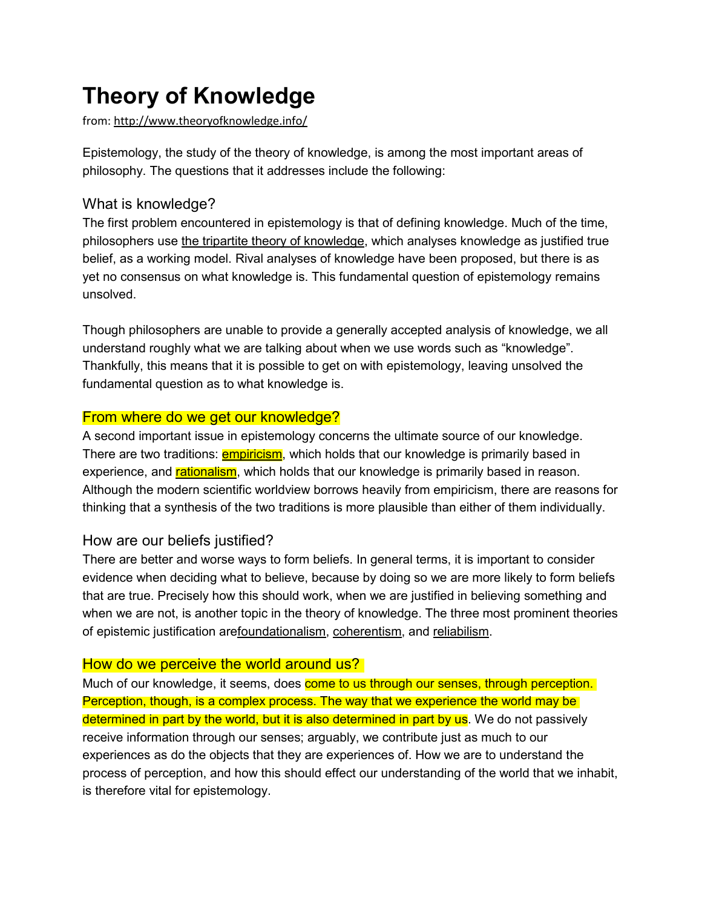# **Theory of Knowledge**

from: <http://www.theoryofknowledge.info/>

Epistemology, the study of the theory of knowledge, is among the most important areas of philosophy. The questions that it addresses include the following:

# What is knowledge?

The first problem encountered in epistemology is that of defining knowledge. Much of the time, philosophers use [the tripartite theory of knowledge,](http://theoryofknowledge.info/what-is-knowledge/the-tripartite-theory-of-knowledge/) which analyses knowledge as justified true belief, as a working model. Rival analyses of knowledge have been proposed, but there is as yet no consensus on what knowledge is. This fundamental question of epistemology remains unsolved.

Though philosophers are unable to provide a generally accepted analysis of knowledge, we all understand roughly what we are talking about when we use words such as "knowledge". Thankfully, this means that it is possible to get on with epistemology, leaving unsolved the fundamental question as to what knowledge is.

# From where do we get our knowledge?

A second important issue in epistemology concerns the ultimate source of our knowledge. There are two traditions: **empiricism**, which holds that our knowledge is primarily based in experience, and [rationalism,](http://theoryofknowledge.info/sources-of-knowledge/rationalism/) which holds that our knowledge is primarily based in reason. Although the modern scientific worldview borrows heavily from empiricism, there are reasons for thinking that a synthesis of the two traditions is more plausible than either of them individually.

# How are our beliefs justified?

There are better and worse ways to form beliefs. In general terms, it is important to consider evidence when deciding what to believe, because by doing so we are more likely to form beliefs that are true. Precisely how this should work, when we are justified in believing something and when we are not, is another topic in the theory of knowledge. The three most prominent theories of epistemic justification ar[efoundationalism,](http://theoryofknowledge.info/epistemic-justification/foundationalism/) [coherentism,](http://theoryofknowledge.info/epistemic-justification/coherentism/) and [reliabilism.](http://theoryofknowledge.info/epistemic-justification/reliabilism/)

### How do we perceive the world around us?

Much of our knowledge, it seems, does come to us through our senses, through perception. Perception, though, is a complex process. The way that we experience the world may be determined in part by the world, but it is also determined in part by us. We do not passively receive information through our senses; arguably, we contribute just as much to our experiences as do the objects that they are experiences of. How we are to understand the process of perception, and how this should effect our understanding of the world that we inhabit, is therefore vital for epistemology.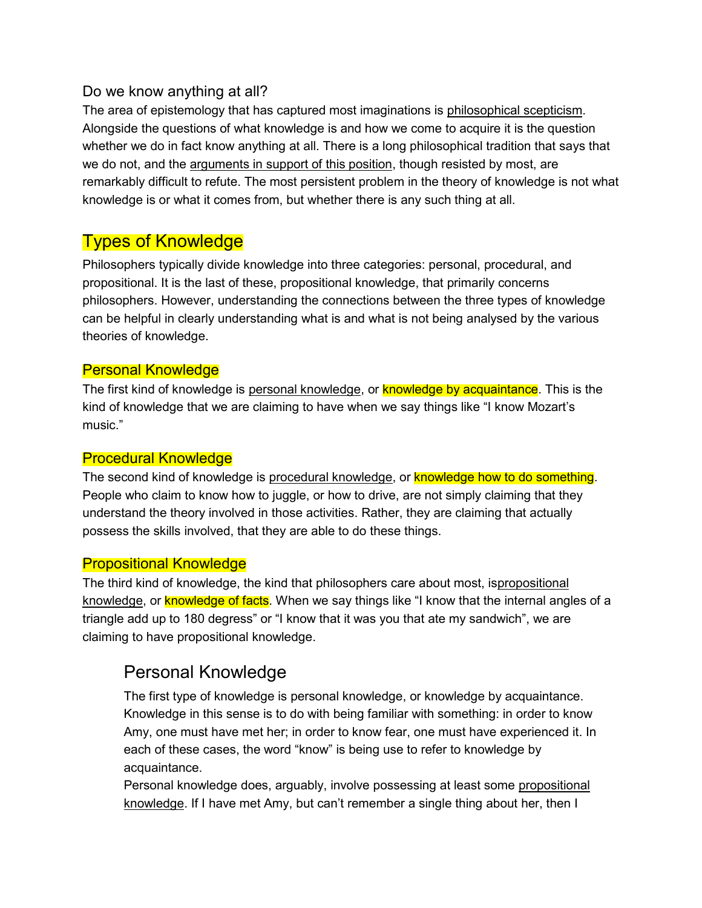### Do we know anything at all?

The area of epistemology that has captured most imaginations is [philosophical scepticism.](http://theoryofknowledge.info/scepticism/) Alongside the questions of what knowledge is and how we come to acquire it is the question whether we do in fact know anything at all. There is a long philosophical tradition that says that we do not, and the [arguments in support of this position,](http://theoryofknowledge.info/scepticism/sceptical-arguments/) though resisted by most, are remarkably difficult to refute. The most persistent problem in the theory of knowledge is not what knowledge is or what it comes from, but whether there is any such thing at all.

# Types of Knowledge

Philosophers typically divide knowledge into three categories: personal, procedural, and propositional. It is the last of these, propositional knowledge, that primarily concerns philosophers. However, understanding the connections between the three types of knowledge can be helpful in clearly understanding what is and what is not being analysed by the various theories of knowledge.

### Personal Knowledge

The first kind of knowledge is [personal knowledge,](http://theoryofknowledge.info/what-is-knowledge/types-of-knowledge/personal-knowledge/) or **knowledge by acquaintance**. This is the kind of knowledge that we are claiming to have when we say things like "I know Mozart's music."

### Procedural Knowledge

The second kind of knowledge is [procedural knowledge,](http://theoryofknowledge.info/what-is-knowledge/types-of-knowledge/procedural-knowledge/) or knowledge how to do something. People who claim to know how to juggle, or how to drive, are not simply claiming that they understand the theory involved in those activities. Rather, they are claiming that actually possess the skills involved, that they are able to do these things.

### Propositional Knowledge

The third kind of knowledge, the kind that philosophers care about most, i[spropositional](http://theoryofknowledge.info/what-is-knowledge/types-of-knowledge/propositional-knowledge/)  [knowledge](http://theoryofknowledge.info/what-is-knowledge/types-of-knowledge/propositional-knowledge/), or **knowledge of facts**. When we say things like "I know that the internal angles of a triangle add up to 180 degress" or "I know that it was you that ate my sandwich", we are claiming to have propositional knowledge.

# Personal Knowledge

The first type of knowledge is personal knowledge, or knowledge by acquaintance. Knowledge in this sense is to do with being familiar with something: in order to know Amy, one must have met her; in order to know fear, one must have experienced it. In each of these cases, the word "know" is being use to refer to knowledge by acquaintance.

Personal knowledge does, arguably, involve possessing at least some [propositional](http://theoryofknowledge.info/what-is-knowledge/types-of-knowledge/propositional-knowledge/)  [knowledge](http://theoryofknowledge.info/what-is-knowledge/types-of-knowledge/propositional-knowledge/). If I have met Amy, but can't remember a single thing about her, then I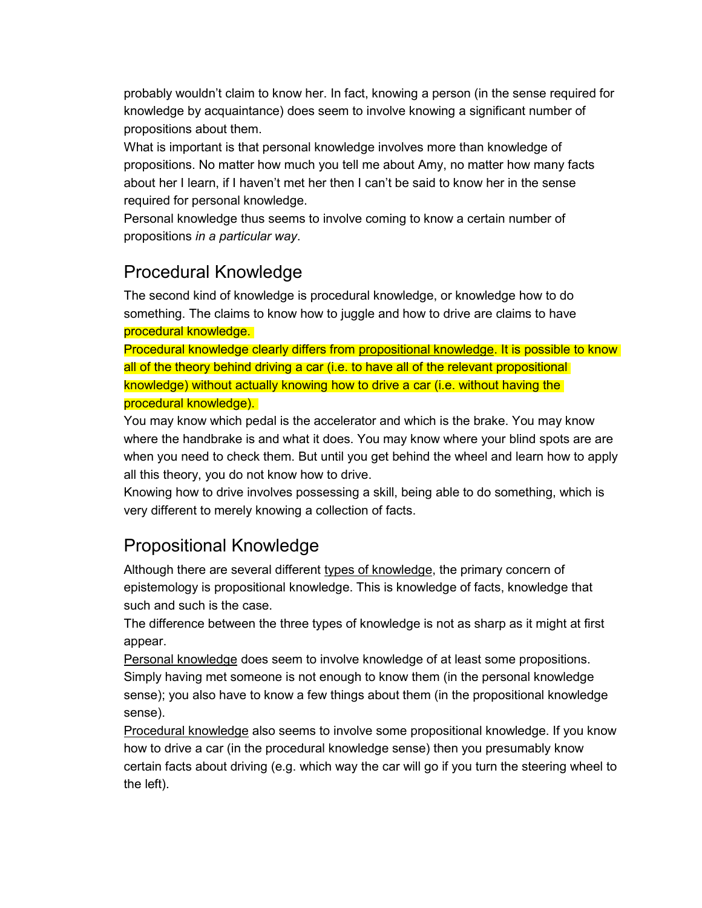probably wouldn't claim to know her. In fact, knowing a person (in the sense required for knowledge by acquaintance) does seem to involve knowing a significant number of propositions about them.

What is important is that personal knowledge involves more than knowledge of propositions. No matter how much you tell me about Amy, no matter how many facts about her I learn, if I haven't met her then I can't be said to know her in the sense required for personal knowledge.

Personal knowledge thus seems to involve coming to know a certain number of propositions *in a particular way*.

# Procedural Knowledge

The second kind of knowledge is procedural knowledge, or knowledge how to do something. The claims to know how to juggle and how to drive are claims to have procedural knowledge.

Procedural knowledge clearly differs from [propositional knowledge.](http://theoryofknowledge.info/what-is-knowledge/types-of-knowledge/propositional-knowledge/) It is possible to know all of the theory behind driving a car (i.e. to have all of the relevant propositional knowledge) without actually knowing how to drive a car (i.e. without having the procedural knowledge).

You may know which pedal is the accelerator and which is the brake. You may know where the handbrake is and what it does. You may know where your blind spots are are when you need to check them. But until you get behind the wheel and learn how to apply all this theory, you do not know how to drive.

Knowing how to drive involves possessing a skill, being able to do something, which is very different to merely knowing a collection of facts.

# Propositional Knowledge

Although there are several different [types of knowledge,](http://theoryofknowledge.info/what-is-knowledge/types-of-knowledge/) the primary concern of epistemology is propositional knowledge. This is knowledge of facts, knowledge that such and such is the case.

The difference between the three types of knowledge is not as sharp as it might at first appear.

[Personal knowledge](http://theoryofknowledge.info/what-is-knowledge/types-of-knowledge/personal-knowledge/) does seem to involve knowledge of at least some propositions. Simply having met someone is not enough to know them (in the personal knowledge sense); you also have to know a few things about them (in the propositional knowledge sense).

[Procedural knowledge](http://theoryofknowledge.info/what-is-knowledge/types-of-knowledge/procedural-knowledge/) also seems to involve some propositional knowledge. If you know how to drive a car (in the procedural knowledge sense) then you presumably know certain facts about driving (e.g. which way the car will go if you turn the steering wheel to the left).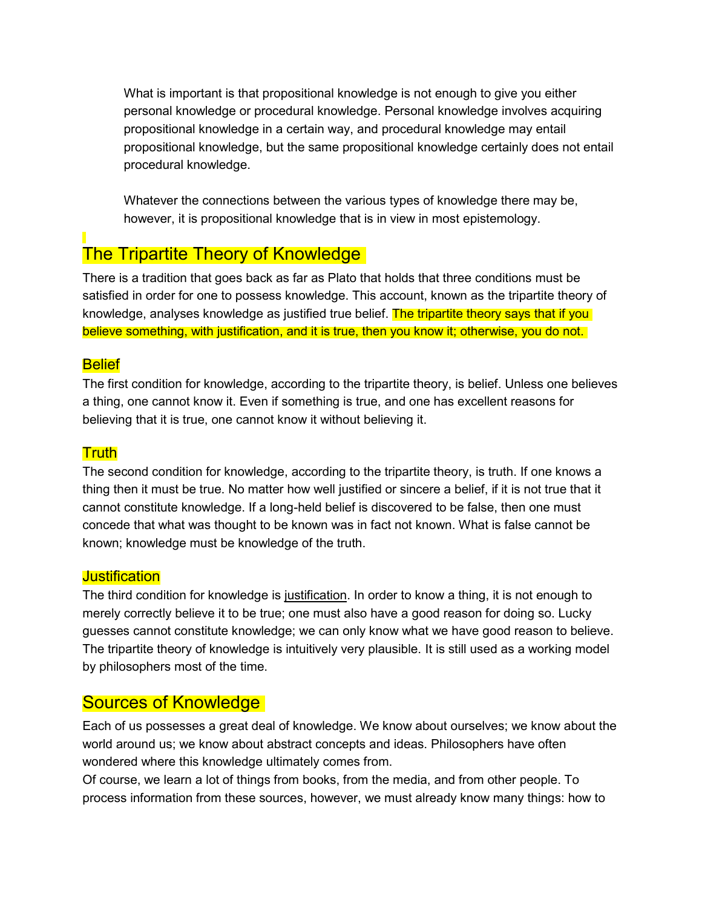What is important is that propositional knowledge is not enough to give you either personal knowledge or procedural knowledge. Personal knowledge involves acquiring propositional knowledge in a certain way, and procedural knowledge may entail propositional knowledge, but the same propositional knowledge certainly does not entail procedural knowledge.

Whatever the connections between the various types of knowledge there may be, however, it is propositional knowledge that is in view in most epistemology.

# The Tripartite Theory of Knowledge

There is a tradition that goes back as far as Plato that holds that three conditions must be satisfied in order for one to possess knowledge. This account, known as the tripartite theory of knowledge, analyses knowledge as justified true belief. The tripartite theory says that if you believe something, with justification, and it is true, then you know it; otherwise, you do not.

### Belief

The first condition for knowledge, according to the tripartite theory, is belief. Unless one believes a thing, one cannot know it. Even if something is true, and one has excellent reasons for believing that it is true, one cannot know it without believing it.

### **Truth**

The second condition for knowledge, according to the tripartite theory, is truth. If one knows a thing then it must be true. No matter how well justified or sincere a belief, if it is not true that it cannot constitute knowledge. If a long-held belief is discovered to be false, then one must concede that what was thought to be known was in fact not known. What is false cannot be known; knowledge must be knowledge of the truth.

### **Justification**

The third condition for knowledge is [justification.](http://theoryofknowledge.info/epistemic-justification/) In order to know a thing, it is not enough to merely correctly believe it to be true; one must also have a good reason for doing so. Lucky guesses cannot constitute knowledge; we can only know what we have good reason to believe. The tripartite theory of knowledge is intuitively very plausible. It is still used as a working model by philosophers most of the time.

# Sources of Knowledge

Each of us possesses a great deal of knowledge. We know about ourselves; we know about the world around us; we know about abstract concepts and ideas. Philosophers have often wondered where this knowledge ultimately comes from.

Of course, we learn a lot of things from books, from the media, and from other people. To process information from these sources, however, we must already know many things: how to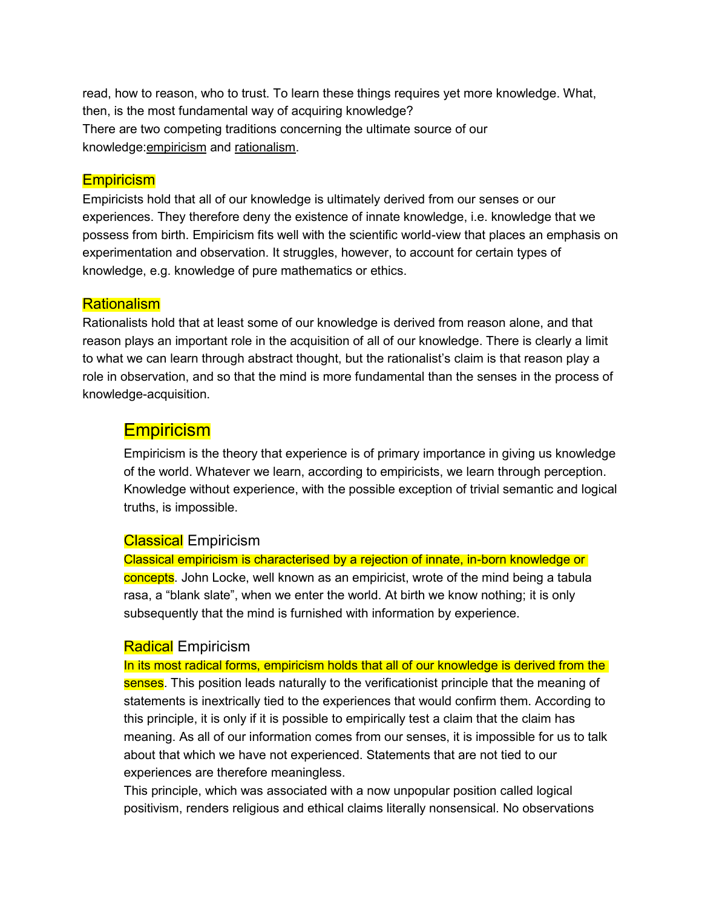read, how to reason, who to trust. To learn these things requires yet more knowledge. What, then, is the most fundamental way of acquiring knowledge? There are two competing traditions concerning the ultimate source of our knowledge[:empiricism](http://theoryofknowledge.info/sources-of-knowledge/empiricism/) and [rationalism.](http://theoryofknowledge.info/sources-of-knowledge/rationalism/)

#### **Empiricism**

Empiricists hold that all of our knowledge is ultimately derived from our senses or our experiences. They therefore deny the existence of innate knowledge, i.e. knowledge that we possess from birth. Empiricism fits well with the scientific world-view that places an emphasis on experimentation and observation. It struggles, however, to account for certain types of knowledge, e.g. knowledge of pure mathematics or ethics.

#### **Rationalism**

Rationalists hold that at least some of our knowledge is derived from reason alone, and that reason plays an important role in the acquisition of all of our knowledge. There is clearly a limit to what we can learn through abstract thought, but the rationalist's claim is that reason play a role in observation, and so that the mind is more fundamental than the senses in the process of knowledge-acquisition.

### **Empiricism**

Empiricism is the theory that experience is of primary importance in giving us knowledge of the world. Whatever we learn, according to empiricists, we learn through perception. Knowledge without experience, with the possible exception of trivial semantic and logical truths, is impossible.

#### Classical Empiricism

Classical empiricism is characterised by a rejection of innate, in-born knowledge or concepts. John Locke, well known as an empiricist, wrote of the mind being a tabula rasa, a "blank slate", when we enter the world. At birth we know nothing; it is only subsequently that the mind is furnished with information by experience.

#### **Radical** Empiricism

In its most radical forms, empiricism holds that all of our knowledge is derived from the senses. This position leads naturally to the verificationist principle that the meaning of statements is inextrically tied to the experiences that would confirm them. According to this principle, it is only if it is possible to empirically test a claim that the claim has meaning. As all of our information comes from our senses, it is impossible for us to talk about that which we have not experienced. Statements that are not tied to our experiences are therefore meaningless.

This principle, which was associated with a now unpopular position called logical positivism, renders religious and ethical claims literally nonsensical. No observations